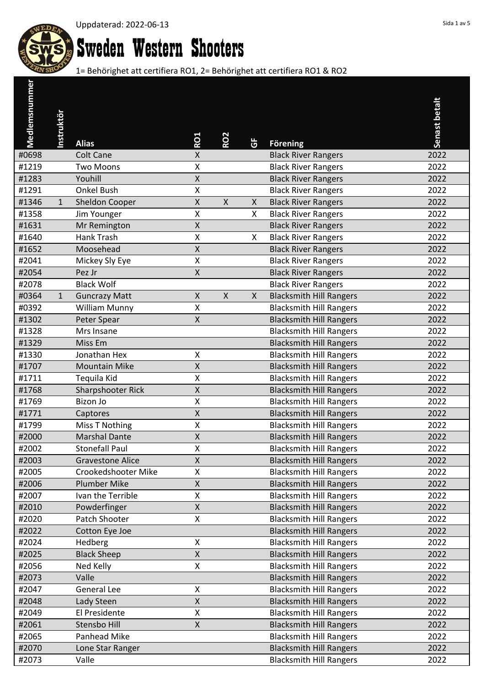

# Sweden Western Shooters

| Medlemsnummer  |                   |                                                  |                         |              |              |                                                                  |               |
|----------------|-------------------|--------------------------------------------------|-------------------------|--------------|--------------|------------------------------------------------------------------|---------------|
|                |                   |                                                  |                         |              |              |                                                                  | Senast betalt |
|                | <b>Instruktör</b> |                                                  |                         |              |              |                                                                  |               |
|                |                   | <b>Alias</b>                                     | RO1                     | <b>RO2</b>   | ច            | <b>Förening</b>                                                  |               |
| #0698          |                   | <b>Colt Cane</b>                                 | X                       |              |              | <b>Black River Rangers</b>                                       | 2022          |
| #1219          |                   | <b>Two Moons</b>                                 | X                       |              |              | <b>Black River Rangers</b>                                       | 2022          |
| #1283          |                   | Youhill                                          | $\pmb{\mathsf{X}}$      |              |              | <b>Black River Rangers</b>                                       | 2022          |
| #1291          |                   | <b>Onkel Bush</b>                                | X                       |              |              | <b>Black River Rangers</b>                                       | 2022          |
| #1346          | $\mathbf{1}$      | Sheldon Cooper                                   | $\pmb{\mathsf{X}}$      | $\mathsf{X}$ | X            | <b>Black River Rangers</b>                                       | 2022          |
| #1358          |                   | Jim Younger                                      | Χ                       |              | X            | <b>Black River Rangers</b>                                       | 2022          |
| #1631          |                   | Mr Remington                                     | $\pmb{\mathsf{X}}$      |              |              | <b>Black River Rangers</b>                                       | 2022          |
| #1640          |                   | <b>Hank Trash</b>                                | X                       |              | X            | <b>Black River Rangers</b>                                       | 2022          |
| #1652          |                   | Moosehead                                        | Χ                       |              |              | <b>Black River Rangers</b>                                       | 2022          |
| #2041          |                   | Mickey Sly Eye                                   | X                       |              |              | <b>Black River Rangers</b>                                       | 2022          |
| #2054          |                   | Pez Jr                                           | Χ                       |              |              | <b>Black River Rangers</b>                                       | 2022          |
| #2078          |                   | <b>Black Wolf</b>                                |                         |              |              | <b>Black River Rangers</b>                                       | 2022          |
| #0364          | $\mathbf{1}$      | <b>Guncrazy Matt</b>                             | $\mathsf{X}$            | $\mathsf{X}$ | $\mathsf{X}$ | <b>Blacksmith Hill Rangers</b>                                   | 2022          |
| #0392          |                   | <b>William Munny</b>                             | Χ                       |              |              | <b>Blacksmith Hill Rangers</b>                                   | 2022          |
| #1302          |                   | Peter Spear                                      | $\pmb{\mathsf{X}}$      |              |              | <b>Blacksmith Hill Rangers</b>                                   | 2022          |
| #1328          |                   | Mrs Insane                                       |                         |              |              | <b>Blacksmith Hill Rangers</b>                                   | 2022          |
| #1329          |                   | Miss Em                                          |                         |              |              | <b>Blacksmith Hill Rangers</b>                                   | 2022          |
| #1330          |                   | Jonathan Hex                                     | Χ                       |              |              | <b>Blacksmith Hill Rangers</b>                                   | 2022          |
| #1707          |                   | <b>Mountain Mike</b>                             | Χ                       |              |              | <b>Blacksmith Hill Rangers</b>                                   | 2022          |
| #1711          |                   | Tequila Kid                                      | Χ                       |              |              | <b>Blacksmith Hill Rangers</b>                                   | 2022          |
| #1768          |                   | Sharpshooter Rick                                | $\pmb{\mathsf{X}}$      |              |              | <b>Blacksmith Hill Rangers</b>                                   | 2022          |
| #1769          |                   | Bizon Jo                                         | Χ                       |              |              | <b>Blacksmith Hill Rangers</b>                                   | 2022          |
| #1771          |                   | Captores                                         | $\sf X$                 |              |              | <b>Blacksmith Hill Rangers</b>                                   | 2022          |
| #1799          |                   | <b>Miss T Nothing</b>                            | Χ                       |              |              | <b>Blacksmith Hill Rangers</b>                                   | 2022          |
| #2000          |                   | <b>Marshal Dante</b>                             | $\pmb{\mathsf{X}}$      |              |              | <b>Blacksmith Hill Rangers</b>                                   | 2022          |
| #2002<br>#2003 |                   | <b>Stonefall Paul</b><br><b>Gravestone Alice</b> | Χ<br>$\mathsf{X}% _{0}$ |              |              | <b>Blacksmith Hill Rangers</b><br><b>Blacksmith Hill Rangers</b> | 2022<br>2022  |
| #2005          |                   | Crookedshooter Mike                              | Χ                       |              |              | <b>Blacksmith Hill Rangers</b>                                   | 2022          |
| #2006          |                   | <b>Plumber Mike</b>                              | X                       |              |              | <b>Blacksmith Hill Rangers</b>                                   | 2022          |
| #2007          |                   | Ivan the Terrible                                | Χ                       |              |              | <b>Blacksmith Hill Rangers</b>                                   | 2022          |
| #2010          |                   | Powderfinger                                     | Χ                       |              |              | <b>Blacksmith Hill Rangers</b>                                   | 2022          |
| #2020          |                   | Patch Shooter                                    | X                       |              |              | <b>Blacksmith Hill Rangers</b>                                   | 2022          |
| #2022          |                   | Cotton Eye Joe                                   |                         |              |              | <b>Blacksmith Hill Rangers</b>                                   | 2022          |
| #2024          |                   | Hedberg                                          | Χ                       |              |              | <b>Blacksmith Hill Rangers</b>                                   | 2022          |
| #2025          |                   | <b>Black Sheep</b>                               | $\mathsf{X}% _{0}$      |              |              | <b>Blacksmith Hill Rangers</b>                                   | 2022          |
| #2056          |                   | Ned Kelly                                        | Χ                       |              |              | <b>Blacksmith Hill Rangers</b>                                   | 2022          |
| #2073          |                   | Valle                                            |                         |              |              | <b>Blacksmith Hill Rangers</b>                                   | 2022          |
| #2047          |                   | <b>General Lee</b>                               | Χ                       |              |              | <b>Blacksmith Hill Rangers</b>                                   | 2022          |
| #2048          |                   | Lady Steen                                       | X                       |              |              | <b>Blacksmith Hill Rangers</b>                                   | 2022          |
| #2049          |                   | El Presidente                                    | X                       |              |              | <b>Blacksmith Hill Rangers</b>                                   | 2022          |
| #2061          |                   | Stensbo Hill                                     | X                       |              |              | <b>Blacksmith Hill Rangers</b>                                   | 2022          |
| #2065          |                   | Panhead Mike                                     |                         |              |              | <b>Blacksmith Hill Rangers</b>                                   | 2022          |
| #2070          |                   | Lone Star Ranger                                 |                         |              |              | <b>Blacksmith Hill Rangers</b>                                   | 2022          |
| #2073          |                   | Valle                                            |                         |              |              | <b>Blacksmith Hill Rangers</b>                                   | 2022          |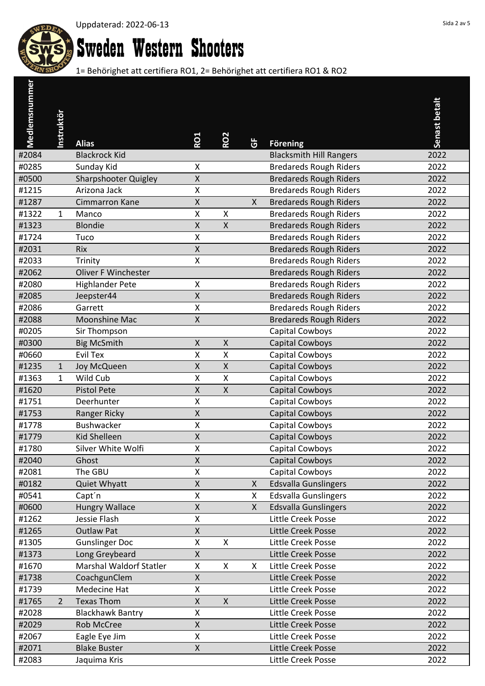

# Sweden Western Shooters

| Medlemsnummer |                   |                                |                    |                    |              |                                |               |
|---------------|-------------------|--------------------------------|--------------------|--------------------|--------------|--------------------------------|---------------|
|               |                   |                                |                    |                    |              |                                | Senast betalt |
|               | <b>Instruktör</b> |                                |                    |                    |              |                                |               |
|               |                   | <b>Alias</b>                   | <b>RO1</b>         | <b>RO2</b>         | ច            | <b>Förening</b>                |               |
| #2084         |                   | <b>Blackrock Kid</b>           |                    |                    |              | <b>Blacksmith Hill Rangers</b> | 2022          |
| #0285         |                   | Sunday Kid                     | Χ                  |                    |              | <b>Bredareds Rough Riders</b>  | 2022          |
| #0500         |                   | <b>Sharpshooter Quigley</b>    | $\mathsf X$        |                    |              | <b>Bredareds Rough Riders</b>  | 2022          |
| #1215         |                   | Arizona Jack                   | X                  |                    |              | <b>Bredareds Rough Riders</b>  | 2022          |
| #1287         |                   | Cimmarron Kane                 | $\pmb{\mathsf{X}}$ |                    | $\mathsf{X}$ | <b>Bredareds Rough Riders</b>  | 2022          |
| #1322         | 1                 | Manco                          | X                  | X                  |              | <b>Bredareds Rough Riders</b>  | 2022          |
| #1323         |                   | <b>Blondie</b>                 | $\pmb{\mathsf{X}}$ | $\mathsf{X}$       |              | <b>Bredareds Rough Riders</b>  | 2022          |
| #1724         |                   | Tuco                           | X                  |                    |              | <b>Bredareds Rough Riders</b>  | 2022          |
| #2031         |                   | <b>Rix</b>                     | $\pmb{\mathsf{X}}$ |                    |              | <b>Bredareds Rough Riders</b>  | 2022          |
| #2033         |                   | Trinity                        | X                  |                    |              | <b>Bredareds Rough Riders</b>  | 2022          |
| #2062         |                   | <b>Oliver F Winchester</b>     |                    |                    |              | <b>Bredareds Rough Riders</b>  | 2022          |
| #2080         |                   | <b>Highlander Pete</b>         | Χ                  |                    |              | <b>Bredareds Rough Riders</b>  | 2022          |
| #2085         |                   | Jeepster44                     | $\mathsf{X}% _{0}$ |                    |              | <b>Bredareds Rough Riders</b>  | 2022          |
| #2086         |                   | Garrett                        | Χ                  |                    |              | <b>Bredareds Rough Riders</b>  | 2022          |
| #2088         |                   | <b>Moonshine Mac</b>           | $\pmb{\mathsf{X}}$ |                    |              | <b>Bredareds Rough Riders</b>  | 2022          |
| #0205         |                   | Sir Thompson                   |                    |                    |              | Capital Cowboys                | 2022          |
| #0300         |                   | <b>Big McSmith</b>             | Χ                  | $\mathsf{X}$       |              | Capital Cowboys                | 2022          |
| #0660         |                   | Evil Tex                       | X                  | $\pmb{\mathsf{X}}$ |              | Capital Cowboys                | 2022          |
| #1235         | $\mathbf 1$       | Joy McQueen                    | Χ                  | X                  |              | <b>Capital Cowboys</b>         | 2022          |
| #1363         | $\mathbf{1}$      | Wild Cub                       | X                  | $\mathsf{X}$       |              | Capital Cowboys                | 2022          |
| #1620         |                   | <b>Pistol Pete</b>             | Χ                  | $\pmb{\mathsf{X}}$ |              | Capital Cowboys                | 2022          |
| #1751         |                   | Deerhunter                     | X                  |                    |              | Capital Cowboys                | 2022          |
| #1753         |                   | Ranger Ricky                   | $\mathsf{X}$       |                    |              | Capital Cowboys                | 2022          |
| #1778         |                   | Bushwacker                     | Χ                  |                    |              | Capital Cowboys                | 2022          |
| #1779         |                   | <b>Kid Shelleen</b>            | $\pmb{\mathsf{X}}$ |                    |              | <b>Capital Cowboys</b>         | 2022          |
| #1780         |                   | Silver White Wolfi             | Χ                  |                    |              | Capital Cowboys                | 2022          |
| #2040         |                   | Ghost                          | $\mathsf{X}% _{0}$ |                    |              | Capital Cowboys                | 2022          |
| #2081         |                   | The GBU                        | X                  |                    |              | Capital Cowboys                | 2022          |
| #0182         |                   | Quiet Whyatt                   | X                  |                    | X            | <b>Edsvalla Gunslingers</b>    | 2022          |
| #0541         |                   | Capt'n                         | Χ                  |                    | X            | <b>Edsvalla Gunslingers</b>    | 2022          |
| #0600         |                   | <b>Hungry Wallace</b>          | Χ                  |                    | $\mathsf{X}$ | <b>Edsvalla Gunslingers</b>    | 2022          |
| #1262         |                   | Jessie Flash                   | X                  |                    |              | Little Creek Posse             | 2022          |
| #1265         |                   | <b>Outlaw Pat</b>              | Χ                  |                    |              | Little Creek Posse             | 2022          |
| #1305         |                   | <b>Gunslinger Doc</b>          | X                  | X                  |              | Little Creek Posse             | 2022          |
| #1373         |                   | Long Greybeard                 | $\mathsf{X}% _{0}$ |                    |              | Little Creek Posse             | 2022          |
| #1670         |                   | <b>Marshal Waldorf Statler</b> | X                  | X                  | X            | Little Creek Posse             | 2022          |
| #1738         |                   | CoachgunClem                   | $\mathsf{X}% _{0}$ |                    |              | Little Creek Posse             | 2022          |
| #1739         |                   | Medecine Hat                   | X                  |                    |              | Little Creek Posse             | 2022          |
| #1765         | $\overline{2}$    | <b>Texas Thom</b>              | X                  | $\mathsf{X}$       |              | Little Creek Posse             | 2022          |
| #2028         |                   | <b>Blackhawk Bantry</b>        | X                  |                    |              | Little Creek Posse             | 2022          |
| #2029         |                   | <b>Rob McCree</b>              | Χ                  |                    |              | Little Creek Posse             | 2022          |
| #2067         |                   | Eagle Eye Jim                  | Χ                  |                    |              | Little Creek Posse             | 2022          |
| #2071         |                   | <b>Blake Buster</b>            | Χ                  |                    |              | Little Creek Posse             | 2022          |
| #2083         |                   | Jaquima Kris                   |                    |                    |              | Little Creek Posse             | 2022          |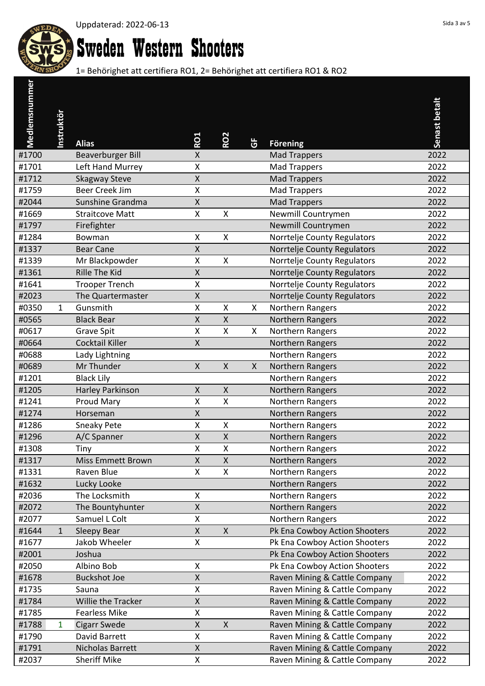

# Sweden Western Shooters

| Medlemsnummer |                   |                          |                    |                           |   |                               |               |
|---------------|-------------------|--------------------------|--------------------|---------------------------|---|-------------------------------|---------------|
|               |                   |                          |                    |                           |   |                               | Senast betalt |
|               | <b>Instruktör</b> |                          |                    |                           |   |                               |               |
|               |                   | <b>Alias</b>             | RO1                | <b>RO2</b>                | ច | <b>Förening</b>               |               |
| #1700         |                   | <b>Beaverburger Bill</b> | X                  |                           |   | <b>Mad Trappers</b>           | 2022          |
| #1701         |                   | Left Hand Murrey         | X                  |                           |   | <b>Mad Trappers</b>           | 2022          |
| #1712         |                   | <b>Skagway Steve</b>     | $\pmb{\mathsf{X}}$ |                           |   | <b>Mad Trappers</b>           | 2022          |
| #1759         |                   | <b>Beer Creek Jim</b>    | X                  |                           |   | <b>Mad Trappers</b>           | 2022          |
| #2044         |                   | Sunshine Grandma         | $\pmb{\mathsf{X}}$ |                           |   | <b>Mad Trappers</b>           | 2022          |
| #1669         |                   | <b>Straitcove Matt</b>   | X                  | $\pmb{\mathsf{X}}$        |   | Newmill Countrymen            | 2022          |
| #1797         |                   | Firefighter              |                    |                           |   | Newmill Countrymen            | 2022          |
| #1284         |                   | Bowman                   | X                  | X                         |   | Norrtelje County Regulators   | 2022          |
| #1337         |                   | <b>Bear Cane</b>         | Χ                  |                           |   | Norrtelje County Regulators   | 2022          |
| #1339         |                   | Mr Blackpowder           | X                  | $\boldsymbol{\mathsf{X}}$ |   | Norrtelje County Regulators   | 2022          |
| #1361         |                   | Rille The Kid            | Χ                  |                           |   | Norrtelje County Regulators   | 2022          |
| #1641         |                   | <b>Trooper Trench</b>    | Χ                  |                           |   | Norrtelje County Regulators   | 2022          |
| #2023         |                   | The Quartermaster        | $\mathsf{X}$       |                           |   | Norrtelje County Regulators   | 2022          |
| #0350         | 1                 | Gunsmith                 | Χ                  | X                         | X | Northern Rangers              | 2022          |
| #0565         |                   | <b>Black Bear</b>        | $\mathsf{X}$       | $\mathsf{X}$              |   | Northern Rangers              | 2022          |
| #0617         |                   | <b>Grave Spit</b>        | X                  | $\pmb{\mathsf{X}}$        | X | Northern Rangers              | 2022          |
| #0664         |                   | Cocktail Killer          | $\pmb{\mathsf{X}}$ |                           |   | Northern Rangers              | 2022          |
| #0688         |                   | Lady Lightning           |                    |                           |   | Northern Rangers              | 2022          |
| #0689         |                   | Mr Thunder               | Χ                  | $\boldsymbol{\mathsf{X}}$ | X | Northern Rangers              | 2022          |
| #1201         |                   | <b>Black Lily</b>        |                    |                           |   | Northern Rangers              | 2022          |
| #1205         |                   | Harley Parkinson         | $\pmb{\mathsf{X}}$ | $\pmb{\mathsf{X}}$        |   | Northern Rangers              | 2022          |
| #1241         |                   | Proud Mary               | Χ                  | $\pmb{\mathsf{X}}$        |   | Northern Rangers              | 2022          |
| #1274         |                   | Horseman                 | $\mathsf{X}$       |                           |   | Northern Rangers              | 2022          |
| #1286         |                   | Sneaky Pete              | Χ                  | Χ                         |   | Northern Rangers              | 2022          |
| #1296         |                   | A/C Spanner              | $\mathsf{X}$       | $\pmb{\mathsf{X}}$        |   | Northern Rangers              | 2022          |
| #1308         |                   | Tiny                     | Χ                  | Χ                         |   | Northern Rangers              | 2022          |
| #1317         |                   | Miss Emmett Brown        | $\mathsf{X}% _{0}$ | $\pmb{\mathsf{X}}$        |   | Northern Rangers              | 2022          |
| #1331         |                   | Raven Blue               | X                  | $\pmb{\mathsf{X}}$        |   | Northern Rangers              | 2022          |
| #1632         |                   | Lucky Looke              |                    |                           |   | Northern Rangers              | 2022          |
| #2036         |                   | The Locksmith            | Χ                  |                           |   | Northern Rangers              | 2022          |
| #2072         |                   | The Bountyhunter         | Χ                  |                           |   | Northern Rangers              | 2022          |
| #2077         |                   | Samuel L Colt            | Χ                  |                           |   | Northern Rangers              | 2022          |
| #1644         | 1                 | Sleepy Bear              | $\mathsf{X}$       | $\mathsf X$               |   | Pk Ena Cowboy Action Shooters | 2022          |
| #1677         |                   | Jakob Wheeler            | Χ                  |                           |   | Pk Ena Cowboy Action Shooters | 2022          |
| #2001         |                   | Joshua                   |                    |                           |   | Pk Ena Cowboy Action Shooters | 2022          |
| #2050         |                   | Albino Bob               | X                  |                           |   | Pk Ena Cowboy Action Shooters | 2022          |
| #1678         |                   | <b>Buckshot Joe</b>      | Χ                  |                           |   | Raven Mining & Cattle Company | 2022          |
| #1735         |                   | Sauna                    | Χ                  |                           |   | Raven Mining & Cattle Company | 2022          |
| #1784         |                   | Willie the Tracker       | Χ                  |                           |   | Raven Mining & Cattle Company | 2022          |
| #1785         |                   | <b>Fearless Mike</b>     | X                  |                           |   | Raven Mining & Cattle Company | 2022          |
| #1788         | 1                 | <b>Cigarr Swede</b>      | X                  | $\mathsf{X}$              |   | Raven Mining & Cattle Company | 2022          |
| #1790         |                   | David Barrett            | X                  |                           |   | Raven Mining & Cattle Company | 2022          |
| #1791         |                   | Nicholas Barrett         | $\mathsf{X}$       |                           |   | Raven Mining & Cattle Company | 2022          |
| #2037         |                   | <b>Sheriff Mike</b>      | Χ                  |                           |   | Raven Mining & Cattle Company | 2022          |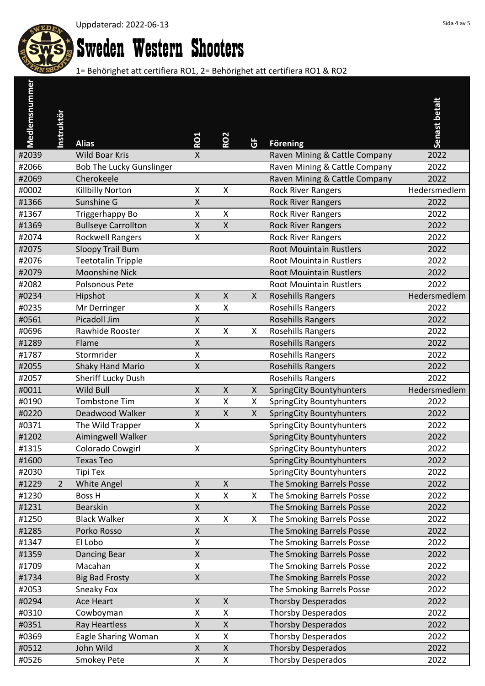

# Sweden Western Shooters

| Medlemsnummer |                   |                                 |                    |                    |              |                                 |               |
|---------------|-------------------|---------------------------------|--------------------|--------------------|--------------|---------------------------------|---------------|
|               |                   |                                 |                    |                    |              |                                 | Senast betalt |
|               | <b>Instruktör</b> |                                 |                    |                    |              |                                 |               |
|               |                   | <b>Alias</b>                    | RO1                | <b>RO2</b>         | ច            | <b>Förening</b>                 |               |
| #2039         |                   | <b>Wild Boar Kris</b>           | X                  |                    |              | Raven Mining & Cattle Company   | 2022          |
| #2066         |                   | <b>Bob The Lucky Gunslinger</b> |                    |                    |              | Raven Mining & Cattle Company   | 2022          |
| #2069         |                   | Cherokeele                      |                    |                    |              | Raven Mining & Cattle Company   | 2022          |
| #0002         |                   | Killbilly Norton                | Χ                  | X                  |              | <b>Rock River Rangers</b>       | Hedersmedlem  |
| #1366         |                   | Sunshine G                      | X                  |                    |              | <b>Rock River Rangers</b>       | 2022          |
| #1367         |                   | Triggerhappy Bo                 | Χ                  | X                  |              | <b>Rock River Rangers</b>       | 2022          |
| #1369         |                   | <b>Bullseye Carrollton</b>      | $\pmb{\mathsf{X}}$ | $\mathsf{X}$       |              | <b>Rock River Rangers</b>       | 2022          |
| #2074         |                   | <b>Rockwell Rangers</b>         | X                  |                    |              | <b>Rock River Rangers</b>       | 2022          |
| #2075         |                   | Sloopy Trail Bum                |                    |                    |              | <b>Root Mouintain Rustlers</b>  | 2022          |
| #2076         |                   | <b>Teetotalin Tripple</b>       |                    |                    |              | <b>Root Mouintain Rustlers</b>  | 2022          |
| #2079         |                   | <b>Moonshine Nick</b>           |                    |                    |              | <b>Root Mouintain Rustlers</b>  | 2022          |
| #2082         |                   | <b>Polsonous Pete</b>           |                    |                    |              | <b>Root Mouintain Rustlers</b>  | 2022          |
| #0234         |                   | Hipshot                         | $\mathsf{X}$       | $\mathsf{X}$       | $\mathsf{X}$ | <b>Rosehills Rangers</b>        | Hedersmedlem  |
| #0235         |                   | Mr Derringer                    | Χ                  | X                  |              | <b>Rosehills Rangers</b>        | 2022          |
| #0561         |                   | Picadoll Jim                    | $\pmb{\mathsf{X}}$ |                    |              | <b>Rosehills Rangers</b>        | 2022          |
| #0696         |                   | Rawhide Rooster                 | X                  | $\mathsf{X}$       | X            | <b>Rosehills Rangers</b>        | 2022          |
| #1289         |                   | Flame                           | $\pmb{\mathsf{X}}$ |                    |              | <b>Rosehills Rangers</b>        | 2022          |
| #1787         |                   | Stormrider                      | X                  |                    |              | Rosehills Rangers               | 2022          |
| #2055         |                   | <b>Shaky Hand Mario</b>         | Χ                  |                    |              | <b>Rosehills Rangers</b>        | 2022          |
| #2057         |                   | Sheriff Lucky Dush              |                    |                    |              | <b>Rosehills Rangers</b>        | 2022          |
| #0011         |                   | Wild Bull                       | $\pmb{\mathsf{X}}$ | $\mathsf{X}$       | X            | <b>SpringCity Bountyhunters</b> | Hedersmedlem  |
| #0190         |                   | Tombstone Tim                   | Χ                  | $\sf X$            | X            | <b>SpringCity Bountyhunters</b> | 2022          |
| #0220         |                   | Deadwood Walker                 | $\mathsf{X}$       | $\mathsf{X}$       | $\mathsf{X}$ | <b>SpringCity Bountyhunters</b> | 2022          |
| #0371         |                   | The Wild Trapper                | Χ                  |                    |              | SpringCity Bountyhunters        | 2022          |
| #1202         |                   | Aimingwell Walker               |                    |                    |              | <b>SpringCity Bountyhunters</b> | 2022          |
| #1315         |                   | Colorado Cowgirl                | Χ                  |                    |              | SpringCity Bountyhunters        | 2022          |
| #1600         |                   | <b>Texas Teo</b>                |                    |                    |              | <b>SpringCity Bountyhunters</b> | 2022          |
| #2030         |                   | Tipi Tex                        |                    |                    |              | <b>SpringCity Bountyhunters</b> | 2022          |
| #1229         | $\overline{2}$    | <b>White Angel</b>              | X                  | $\pmb{\times}$     |              | The Smoking Barrels Posse       | 2022          |
| #1230         |                   | Boss H                          | Χ                  | X                  | X.           | The Smoking Barrels Posse       | 2022          |
| #1231         |                   | <b>Bearskin</b>                 | X                  |                    |              | The Smoking Barrels Posse       | 2022          |
| #1250         |                   | <b>Black Walker</b>             | Χ                  | $\mathsf{X}$       | $\mathsf{X}$ | The Smoking Barrels Posse       | 2022          |
| #1285         |                   | Porko Rosso                     | Χ                  |                    |              | The Smoking Barrels Posse       | 2022          |
| #1347         |                   | El Lobo                         | Χ                  |                    |              | The Smoking Barrels Posse       | 2022          |
| #1359         |                   | Dancing Bear                    | $\sf X$            |                    |              | The Smoking Barrels Posse       | 2022          |
| #1709         |                   | Macahan                         | X                  |                    |              | The Smoking Barrels Posse       | 2022          |
| #1734         |                   | <b>Big Bad Frosty</b>           | $\sf X$            |                    |              | The Smoking Barrels Posse       | 2022          |
| #2053         |                   | Sneaky Fox                      |                    |                    |              | The Smoking Barrels Posse       | 2022          |
| #0294         |                   | <b>Ace Heart</b>                | X                  | $\pmb{\mathsf{X}}$ |              | <b>Thorsby Desperados</b>       | 2022          |
| #0310         |                   | Cowboyman                       | X                  | $\mathsf X$        |              | <b>Thorsby Desperados</b>       | 2022          |
| #0351         |                   | Ray Heartless                   | X                  | $\pmb{\mathsf{X}}$ |              | <b>Thorsby Desperados</b>       | 2022          |
| #0369         |                   | <b>Eagle Sharing Woman</b>      | X                  | $\mathsf X$        |              | <b>Thorsby Desperados</b>       | 2022          |
| #0512         |                   | John Wild                       | X                  | $\pmb{\times}$     |              | <b>Thorsby Desperados</b>       | 2022          |
| #0526         |                   | Smokey Pete                     | X                  | $\mathsf X$        |              | <b>Thorsby Desperados</b>       | 2022          |